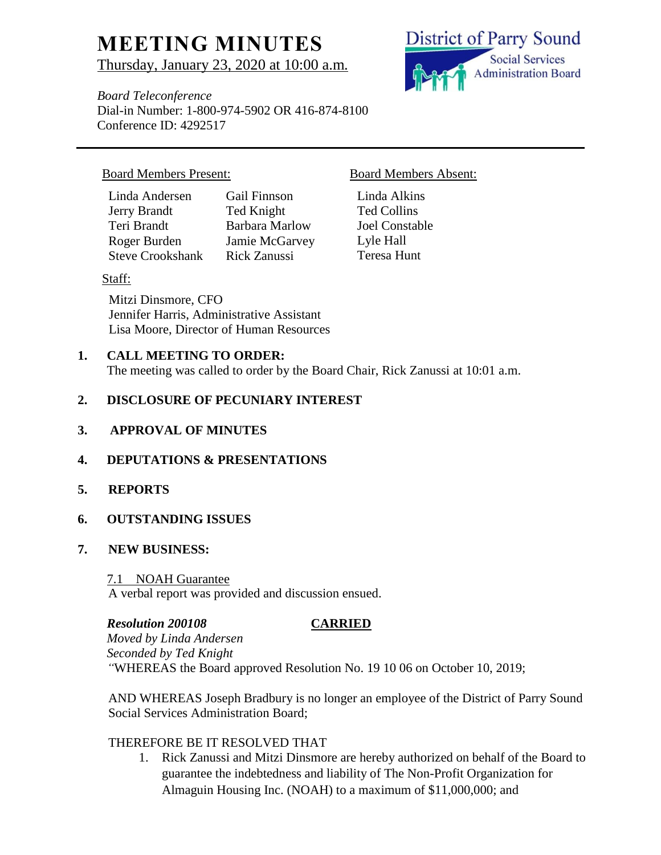# **MEETING MINUTES**

Thursday, January 23, 2020 at 10:00 a.m.

**District of Parry Sound Social Services Administration Board** 

*Board Teleconference* Dial-in Number: 1-800-974-5902 OR 416-874-8100 Conference ID: 4292517

# Board Members Present: Board Members Absent:

| Linda Andersen          | Gail Finnson          |
|-------------------------|-----------------------|
| Jerry Brandt            | Ted Knight            |
| Teri Brandt             | <b>Barbara Marlow</b> |
| Roger Burden            | Jamie McGarvey        |
| <b>Steve Crookshank</b> | <b>Rick Zanussi</b>   |

# Staff:

Mitzi Dinsmore, CFO Jennifer Harris, Administrative Assistant Lisa Moore, Director of Human Resources

# **1. CALL MEETING TO ORDER:**

The meeting was called to order by the Board Chair, Rick Zanussi at 10:01 a.m.

# **2. DISCLOSURE OF PECUNIARY INTEREST**

**3. APPROVAL OF MINUTES**

# **4. DEPUTATIONS & PRESENTATIONS**

**5. REPORTS**

# **6. OUTSTANDING ISSUES**

# **7. NEW BUSINESS:**

### 7.1 NOAH Guarantee

A verbal report was provided and discussion ensued.

# *Resolution 200108* **CARRIED**

*Moved by Linda Andersen Seconded by Ted Knight "*WHEREAS the Board approved Resolution No. 19 10 06 on October 10, 2019;

AND WHEREAS Joseph Bradbury is no longer an employee of the District of Parry Sound Social Services Administration Board;

# THEREFORE BE IT RESOLVED THAT

1. Rick Zanussi and Mitzi Dinsmore are hereby authorized on behalf of the Board to guarantee the indebtedness and liability of The Non-Profit Organization for Almaguin Housing Inc. (NOAH) to a maximum of \$11,000,000; and

Linda Alkins Ted Collins Joel Constable Lyle Hall Teresa Hunt